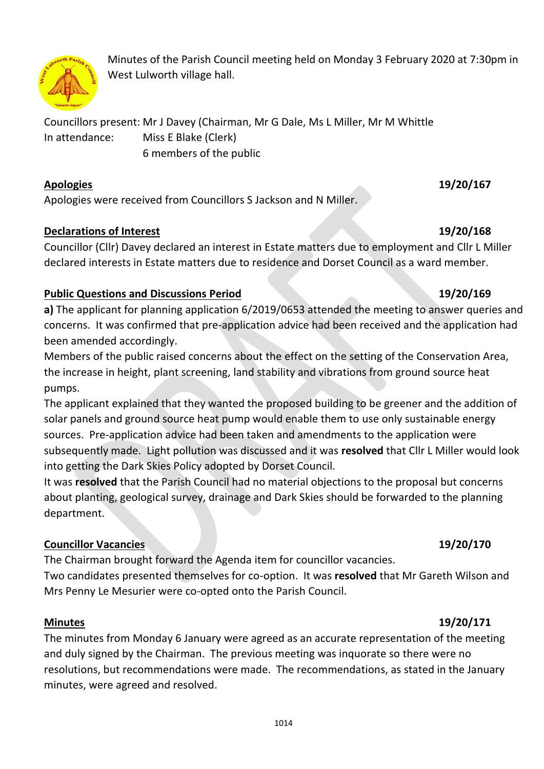

Minutes of the Parish Council meeting held on Monday 3 February 2020 at 7:30pm in West Lulworth village hall.

Councillors present: Mr J Davey (Chairman, Mr G Dale, Ms L Miller, Mr M Whittle In attendance: Miss E Blake (Clerk) 6 members of the public

### **Apologies 19/20/167**

Apologies were received from Councillors S Jackson and N Miller.

## **Declarations of Interest 19/20/168**

Councillor (Cllr) Davey declared an interest in Estate matters due to employment and Cllr L Miller declared interests in Estate matters due to residence and Dorset Council as a ward member.

## **Public Questions and Discussions Period 19/20/169**

**a)** The applicant for planning application 6/2019/0653 attended the meeting to answer queries and concerns. It was confirmed that pre-application advice had been received and the application had been amended accordingly.

Members of the public raised concerns about the effect on the setting of the Conservation Area, the increase in height, plant screening, land stability and vibrations from ground source heat pumps.

The applicant explained that they wanted the proposed building to be greener and the addition of solar panels and ground source heat pump would enable them to use only sustainable energy sources. Pre-application advice had been taken and amendments to the application were subsequently made. Light pollution was discussed and it was **resolved** that Cllr L Miller would look into getting the Dark Skies Policy adopted by Dorset Council.

It was **resolved** that the Parish Council had no material objections to the proposal but concerns about planting, geological survey, drainage and Dark Skies should be forwarded to the planning department.

## **Councillor Vacancies 19/20/170**

The Chairman brought forward the Agenda item for councillor vacancies. Two candidates presented themselves for co-option. It was **resolved** that Mr Gareth Wilson and Mrs Penny Le Mesurier were co-opted onto the Parish Council.

## **Minutes 19/20/171**

The minutes from Monday 6 January were agreed as an accurate representation of the meeting and duly signed by the Chairman. The previous meeting was inquorate so there were no resolutions, but recommendations were made. The recommendations, as stated in the January minutes, were agreed and resolved.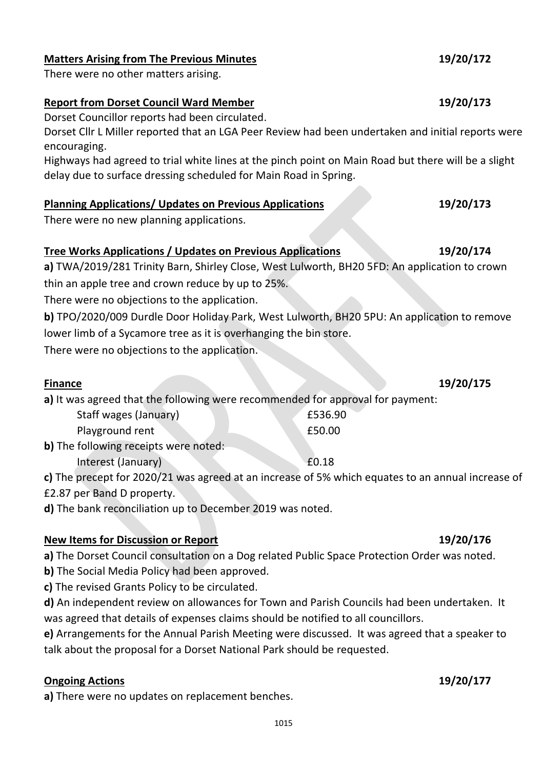### **Tree Works Applications / Updates on Previous Applications 19/20/174**

**a)** TWA/2019/281 Trinity Barn, Shirley Close, West Lulworth, BH20 5FD: An application to crown thin an apple tree and crown reduce by up to 25%.

There were no objections to the application.

**b)** TPO/2020/009 Durdle Door Holiday Park, West Lulworth, BH20 5PU: An application to remove lower limb of a Sycamore tree as it is overhanging the bin store.

There were no objections to the application.

**a)** It was agreed that the following were recommended for approval for payment:

| Staff wages (January)            | £536.90 |
|----------------------------------|---------|
| Playground rent                  | £50.00  |
| o following rosoints ware notadi |         |

**b)** The following receipts were noted: Interest (January) 60.18

**c)** The precept for 2020/21 was agreed at an increase of 5% which equates to an annual increase of £2.87 per Band D property.

**d)** The bank reconciliation up to December 2019 was noted.

### **New Items for Discussion or Report 19/20/176**

**a)** The Dorset Council consultation on a Dog related Public Space Protection Order was noted.

**b)** The Social Media Policy had been approved.

**c)** The revised Grants Policy to be circulated.

**d)** An independent review on allowances for Town and Parish Councils had been undertaken. It was agreed that details of expenses claims should be notified to all councillors.

**e)** Arrangements for the Annual Parish Meeting were discussed. It was agreed that a speaker to talk about the proposal for a Dorset National Park should be requested.

### **Ongoing Actions 19/20/177**

**a)** There were no updates on replacement benches.

### **Matters Arising from The Previous Minutes 19/20/172**

There were no other matters arising.

### **Report from Dorset Council Ward Member 19/20/173**

Dorset Councillor reports had been circulated.

Dorset Cllr L Miller reported that an LGA Peer Review had been undertaken and initial reports were encouraging.

Highways had agreed to trial white lines at the pinch point on Main Road but there will be a slight delay due to surface dressing scheduled for Main Road in Spring.

### **Planning Applications/ Updates on Previous Applications 19/20/173**

There were no new planning applications.

### **Finance 19/20/175**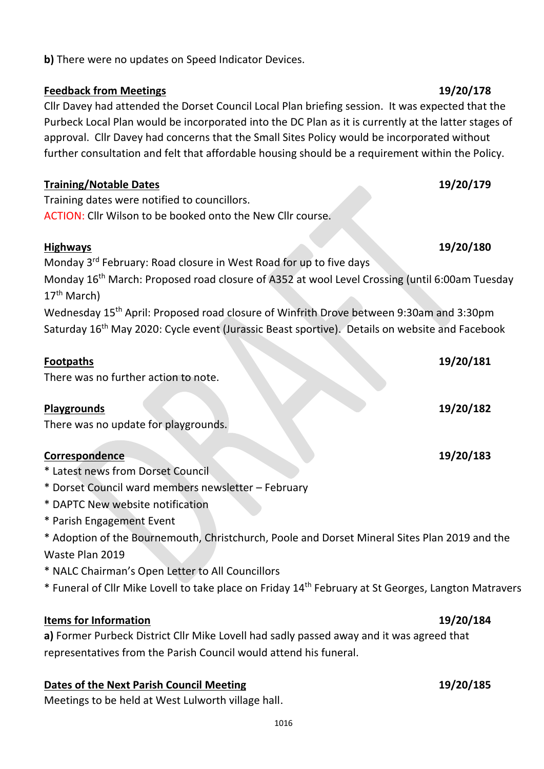**b)** There were no updates on Speed Indicator Devices.

### **Feedback from Meetings 19/20/178**

Cllr Davey had attended the Dorset Council Local Plan briefing session. It was expected that the Purbeck Local Plan would be incorporated into the DC Plan as it is currently at the latter stages of approval. Cllr Davey had concerns that the Small Sites Policy would be incorporated without further consultation and felt that affordable housing should be a requirement within the Policy.

### **Training/Notable Dates 19/20/179**

Training dates were notified to councillors. ACTION: Cllr Wilson to be booked onto the New Cllr course.

### **Highways 19/20/180**

Monday 3<sup>rd</sup> February: Road closure in West Road for up to five days Monday 16<sup>th</sup> March: Proposed road closure of A352 at wool Level Crossing (until 6:00am Tuesday 17th March) Wednesday 15th April: Proposed road closure of Winfrith Drove between 9:30am and 3:30pm Saturday 16<sup>th</sup> May 2020: Cycle event (Jurassic Beast sportive). Details on website and Facebook

There was no further action to note.

### **Playgrounds 19/20/182**

There was no update for playgrounds.

## **Correspondence 19/20/183**

- \* Latest news from Dorset Council
- \* Dorset Council ward members newsletter February
- \* DAPTC New website notification
- \* Parish Engagement Event
- \* Adoption of the Bournemouth, Christchurch, Poole and Dorset Mineral Sites Plan 2019 and the Waste Plan 2019
- \* NALC Chairman's Open Letter to All Councillors
- \* Funeral of Cllr Mike Lovell to take place on Friday 14th February at St Georges, Langton Matravers

### **Items for Information 19/20/184**

**a)** Former Purbeck District Cllr Mike Lovell had sadly passed away and it was agreed that representatives from the Parish Council would attend his funeral.

### **Dates of the Next Parish Council Meeting 19/20/185**

Meetings to be held at West Lulworth village hall.

# **Footpaths 19/20/181**